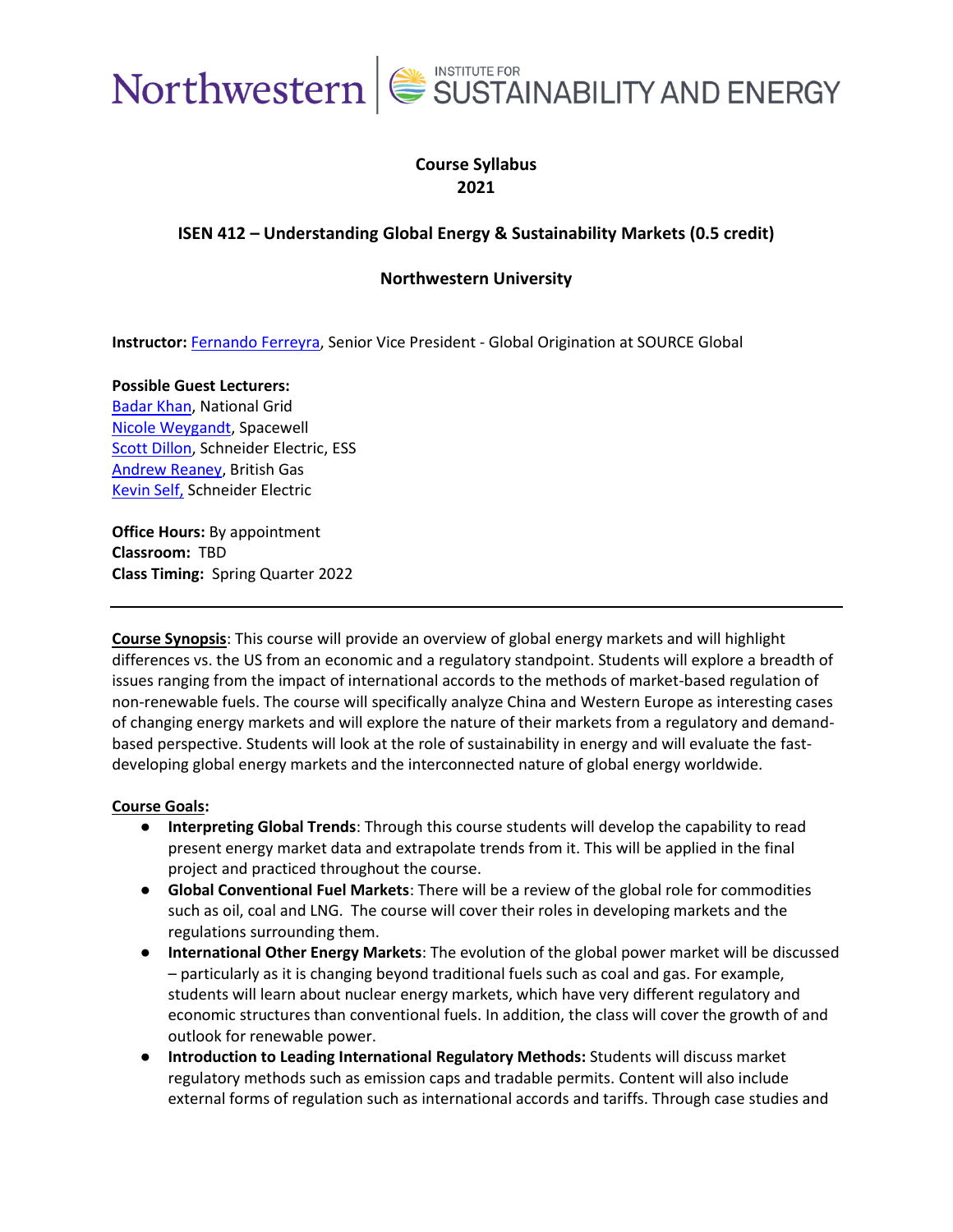

## **Course Syllabus 2021**

### **ISEN 412 – Understanding Global Energy & Sustainability Markets (0.5 credit)**

## **Northwestern University**

**Instructor: [Fernando Ferreyra,](https://www.linkedin.com/in/fernando-ferreyra-74606012/) Senior Vice President - Global Origination at SOURCE Global** 

### **Possible Guest Lecturers:**

[Badar Khan,](https://www.linkedin.com/in/badark/) National Grid [Nicole Weygandt,](https://www.linkedin.com/in/nweygandt/) Spacewell [Scott Dillon,](https://www.linkedin.com/in/withscottdillon/) Schneider Electric, ESS [Andrew Reaney,](https://www.linkedin.com/in/andrew-reaney-32ab57/) British Gas [Kevin Self,](https://www.linkedin.com/in/kevin-self-1986b910/) Schneider Electric

**Office Hours:** By appointment **Classroom:** TBD **Class Timing:** Spring Quarter 2022

**Course Synopsis**: This course will provide an overview of global energy markets and will highlight differences vs. the US from an economic and a regulatory standpoint. Students will explore a breadth of issues ranging from the impact of international accords to the methods of market-based regulation of non-renewable fuels. The course will specifically analyze China and Western Europe as interesting cases of changing energy markets and will explore the nature of their markets from a regulatory and demandbased perspective. Students will look at the role of sustainability in energy and will evaluate the fastdeveloping global energy markets and the interconnected nature of global energy worldwide.

#### **Course Goals:**

- **Interpreting Global Trends**: Through this course students will develop the capability to read present energy market data and extrapolate trends from it. This will be applied in the final project and practiced throughout the course.
- **Global Conventional Fuel Markets**: There will be a review of the global role for commodities such as oil, coal and LNG. The course will cover their roles in developing markets and the regulations surrounding them.
- **International Other Energy Markets**: The evolution of the global power market will be discussed – particularly as it is changing beyond traditional fuels such as coal and gas. For example, students will learn about nuclear energy markets, which have very different regulatory and economic structures than conventional fuels. In addition, the class will cover the growth of and outlook for renewable power.
- **Introduction to Leading International Regulatory Methods:** Students will discuss market regulatory methods such as emission caps and tradable permits. Content will also include external forms of regulation such as international accords and tariffs. Through case studies and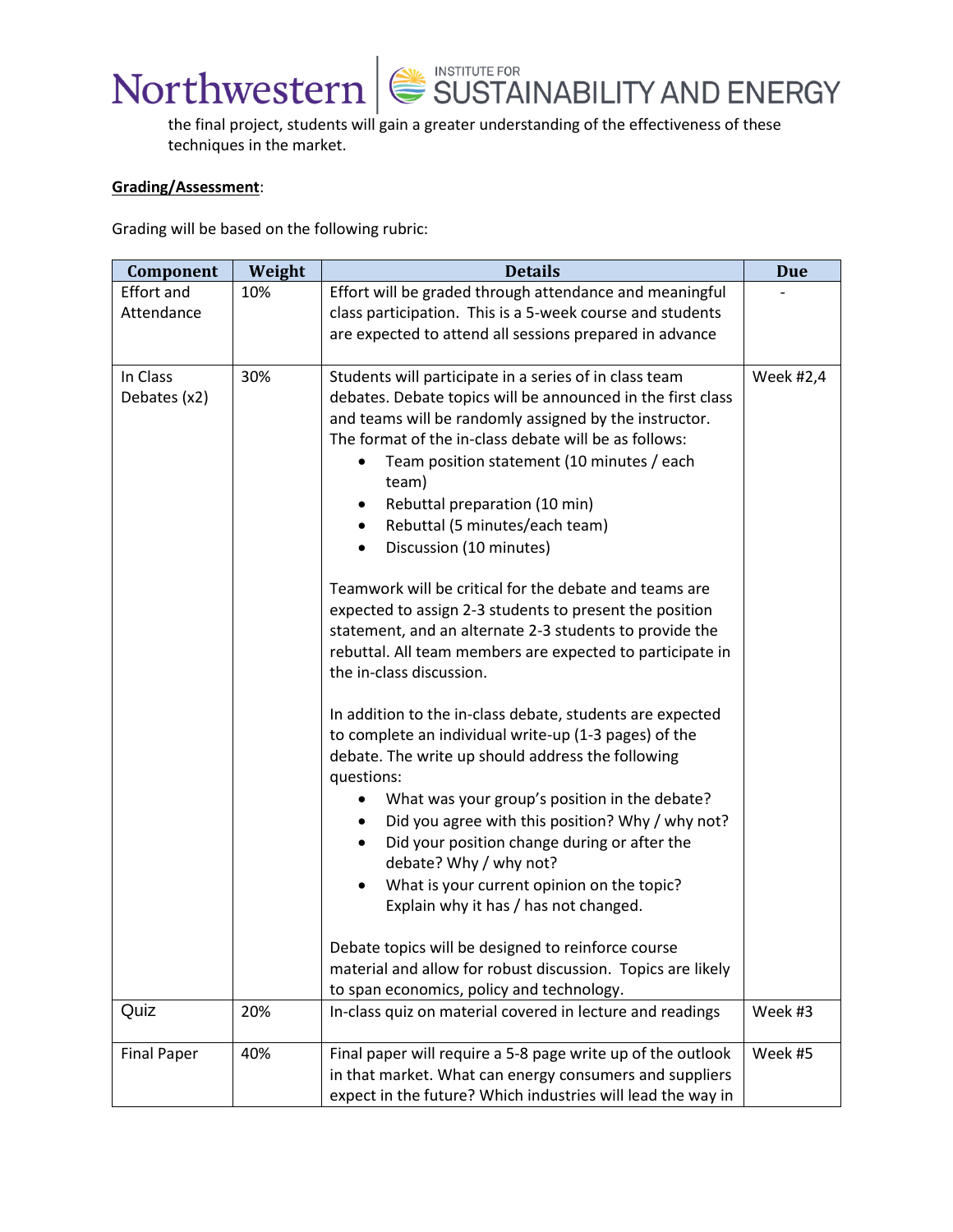



the final project, students will gain a greater understanding of the effectiveness of these techniques in the market.

#### **Grading/Assessment**:

Grading will be based on the following rubric:

| Component          | Weight | <b>Details</b>                                                         | <b>Due</b> |
|--------------------|--------|------------------------------------------------------------------------|------------|
| <b>Effort</b> and  | 10%    | Effort will be graded through attendance and meaningful                |            |
| Attendance         |        | class participation. This is a 5-week course and students              |            |
|                    |        | are expected to attend all sessions prepared in advance                |            |
| In Class           | 30%    | Students will participate in a series of in class team                 | Week #2,4  |
| Debates (x2)       |        | debates. Debate topics will be announced in the first class            |            |
|                    |        | and teams will be randomly assigned by the instructor.                 |            |
|                    |        | The format of the in-class debate will be as follows:                  |            |
|                    |        | Team position statement (10 minutes / each<br>team)                    |            |
|                    |        | Rebuttal preparation (10 min)<br>$\bullet$                             |            |
|                    |        | Rebuttal (5 minutes/each team)                                         |            |
|                    |        | Discussion (10 minutes)                                                |            |
|                    |        | Teamwork will be critical for the debate and teams are                 |            |
|                    |        | expected to assign 2-3 students to present the position                |            |
|                    |        | statement, and an alternate 2-3 students to provide the                |            |
|                    |        | rebuttal. All team members are expected to participate in              |            |
|                    |        | the in-class discussion.                                               |            |
|                    |        | In addition to the in-class debate, students are expected              |            |
|                    |        | to complete an individual write-up (1-3 pages) of the                  |            |
|                    |        | debate. The write up should address the following<br>questions:        |            |
|                    |        | What was your group's position in the debate?                          |            |
|                    |        | Did you agree with this position? Why / why not?<br>$\bullet$          |            |
|                    |        | Did your position change during or after the<br>debate? Why / why not? |            |
|                    |        | What is your current opinion on the topic?<br>$\bullet$                |            |
|                    |        | Explain why it has / has not changed.                                  |            |
|                    |        | Debate topics will be designed to reinforce course                     |            |
|                    |        | material and allow for robust discussion. Topics are likely            |            |
|                    |        | to span economics, policy and technology.                              |            |
| Quiz               | 20%    | In-class quiz on material covered in lecture and readings              | Week #3    |
| <b>Final Paper</b> | 40%    | Final paper will require a 5-8 page write up of the outlook            | Week #5    |
|                    |        | in that market. What can energy consumers and suppliers                |            |
|                    |        | expect in the future? Which industries will lead the way in            |            |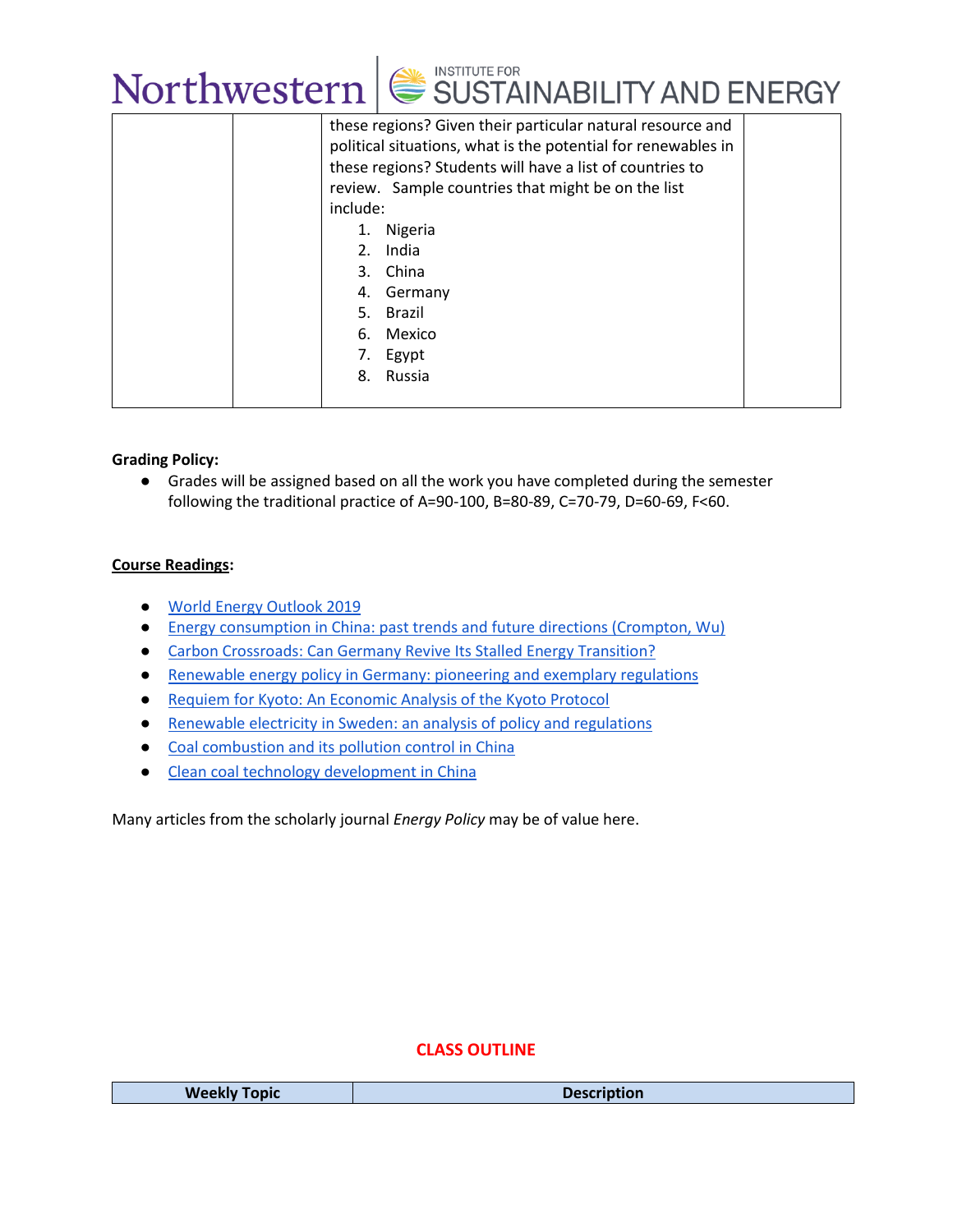| INSTITUTE FOR<br>Northwestern   SUSTAINABILITY AND ENERGY |
|-----------------------------------------------------------|
|                                                           |

| these regions? Given their particular natural resource and    |
|---------------------------------------------------------------|
| political situations, what is the potential for renewables in |
| these regions? Students will have a list of countries to      |
| review. Sample countries that might be on the list            |
| include:                                                      |
| 1. Nigeria                                                    |
| India<br>2.                                                   |
| 3. China                                                      |
| 4. Germany                                                    |
| 5. Brazil                                                     |
| 6. Mexico                                                     |
| Egypt<br>7.                                                   |
| 8. Russia                                                     |
|                                                               |

#### **Grading Policy:**

● Grades will be assigned based on all the work you have completed during the semester following the traditional practice of A=90-100, B=80-89, C=70-79, D=60-69, F<60.

#### **Course Readings:**

- [World Energy Outlook 2019](https://www.iea.org/weo2019/)
- [Energy consumption in China: past trends and future directions \(Crompton, Wu\)](https://www.sciencedirect.com/science/article/pii/S0140988304000945)
- [Carbon Crossroads: Can Germany Revive Its Stalled Energy Transition?](https://e360.yale.edu/features/carbon-crossroads-can-germany-revive-its-stalled-energy-transition)
- [Renewable energy policy in Germany: pioneering and exemplary regulations](https://www.sciencedirect.com/science/article/pii/S0973082608603907)
- [Requiem for Kyoto: An Economic Analysis of the Kyoto Protocol](https://www.jstor.org/stable/23296907)
- [Renewable electricity in Sweden: an analysis of policy and regulations](https://www.sciencedirect.com/science/article/pii/S0301421504003258)
- [Coal combustion and its pollution control in China](https://www.sciencedirect.com/science/article/pii/S0360544209001224)
- [Clean coal technology development in China](https://www.sciencedirect.com/science/article/pii/S0301421509004145)

Many articles from the scholarly journal *Energy Policy* may be of value here.

### **CLASS OUTLINE**

| <b>Weekly Topic</b> | <b>Description</b> |
|---------------------|--------------------|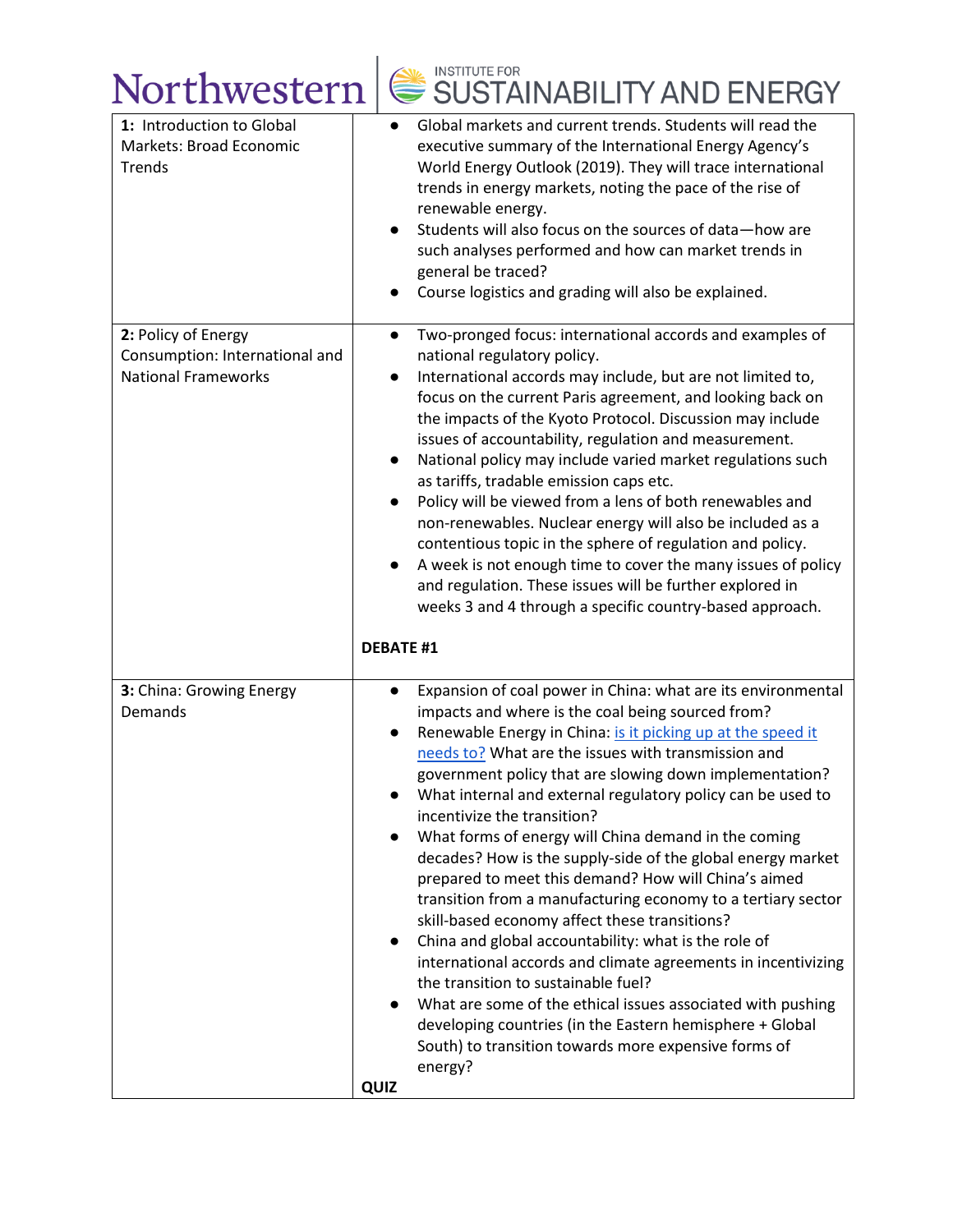# Northwestern SUSTAINABILITY AND ENERGY

| 1: Introduction to Global<br>Markets: Broad Economic<br><b>Trends</b>               | Global markets and current trends. Students will read the<br>$\bullet$<br>executive summary of the International Energy Agency's<br>World Energy Outlook (2019). They will trace international<br>trends in energy markets, noting the pace of the rise of<br>renewable energy.                                                                                                                                                                                                                                                                                                                                                                                                                                                                                                                                                                                                                                                                                                                                                                                                     |
|-------------------------------------------------------------------------------------|-------------------------------------------------------------------------------------------------------------------------------------------------------------------------------------------------------------------------------------------------------------------------------------------------------------------------------------------------------------------------------------------------------------------------------------------------------------------------------------------------------------------------------------------------------------------------------------------------------------------------------------------------------------------------------------------------------------------------------------------------------------------------------------------------------------------------------------------------------------------------------------------------------------------------------------------------------------------------------------------------------------------------------------------------------------------------------------|
|                                                                                     | Students will also focus on the sources of data-how are<br>$\bullet$<br>such analyses performed and how can market trends in<br>general be traced?<br>Course logistics and grading will also be explained.                                                                                                                                                                                                                                                                                                                                                                                                                                                                                                                                                                                                                                                                                                                                                                                                                                                                          |
| 2: Policy of Energy<br>Consumption: International and<br><b>National Frameworks</b> | Two-pronged focus: international accords and examples of<br>$\bullet$<br>national regulatory policy.<br>International accords may include, but are not limited to,<br>$\bullet$<br>focus on the current Paris agreement, and looking back on<br>the impacts of the Kyoto Protocol. Discussion may include<br>issues of accountability, regulation and measurement.<br>National policy may include varied market regulations such<br>$\bullet$<br>as tariffs, tradable emission caps etc.<br>Policy will be viewed from a lens of both renewables and<br>$\bullet$<br>non-renewables. Nuclear energy will also be included as a<br>contentious topic in the sphere of regulation and policy.<br>A week is not enough time to cover the many issues of policy<br>and regulation. These issues will be further explored in<br>weeks 3 and 4 through a specific country-based approach.<br><b>DEBATE #1</b>                                                                                                                                                                             |
|                                                                                     |                                                                                                                                                                                                                                                                                                                                                                                                                                                                                                                                                                                                                                                                                                                                                                                                                                                                                                                                                                                                                                                                                     |
| 3: China: Growing Energy<br>Demands                                                 | Expansion of coal power in China: what are its environmental<br>$\bullet$<br>impacts and where is the coal being sourced from?<br>Renewable Energy in China: is it picking up at the speed it<br>needs to? What are the issues with transmission and<br>government policy that are slowing down implementation?<br>What internal and external regulatory policy can be used to<br>incentivize the transition?<br>What forms of energy will China demand in the coming<br>decades? How is the supply-side of the global energy market<br>prepared to meet this demand? How will China's aimed<br>transition from a manufacturing economy to a tertiary sector<br>skill-based economy affect these transitions?<br>China and global accountability: what is the role of<br>international accords and climate agreements in incentivizing<br>the transition to sustainable fuel?<br>What are some of the ethical issues associated with pushing<br>developing countries (in the Eastern hemisphere + Global<br>South) to transition towards more expensive forms of<br>energy?<br>QUIZ |